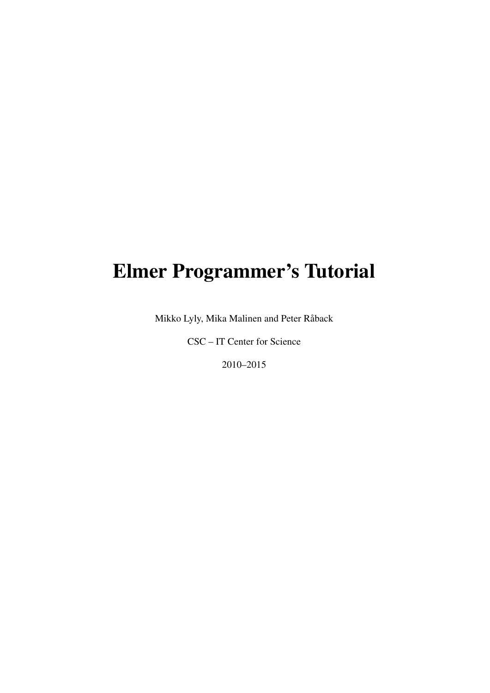# Elmer Programmer's Tutorial

Mikko Lyly, Mika Malinen and Peter Råback

CSC – IT Center for Science

2010–2015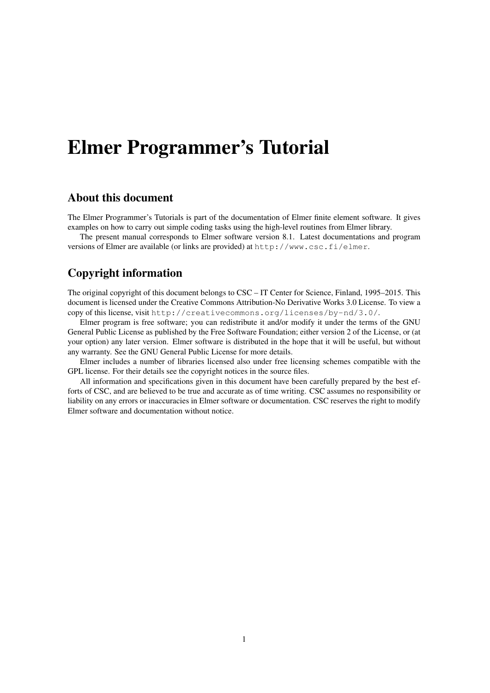# Elmer Programmer's Tutorial

### About this document

The Elmer Programmer's Tutorials is part of the documentation of Elmer finite element software. It gives examples on how to carry out simple coding tasks using the high-level routines from Elmer library.

The present manual corresponds to Elmer software version 8.1. Latest documentations and program versions of Elmer are available (or links are provided) at <http://www.csc.fi/elmer>.

## Copyright information

The original copyright of this document belongs to CSC – IT Center for Science, Finland, 1995–2015. This document is licensed under the Creative Commons Attribution-No Derivative Works 3.0 License. To view a copy of this license, visit <http://creativecommons.org/licenses/by-nd/3.0/>.

Elmer program is free software; you can redistribute it and/or modify it under the terms of the GNU General Public License as published by the Free Software Foundation; either version 2 of the License, or (at your option) any later version. Elmer software is distributed in the hope that it will be useful, but without any warranty. See the GNU General Public License for more details.

Elmer includes a number of libraries licensed also under free licensing schemes compatible with the GPL license. For their details see the copyright notices in the source files.

All information and specifications given in this document have been carefully prepared by the best efforts of CSC, and are believed to be true and accurate as of time writing. CSC assumes no responsibility or liability on any errors or inaccuracies in Elmer software or documentation. CSC reserves the right to modify Elmer software and documentation without notice.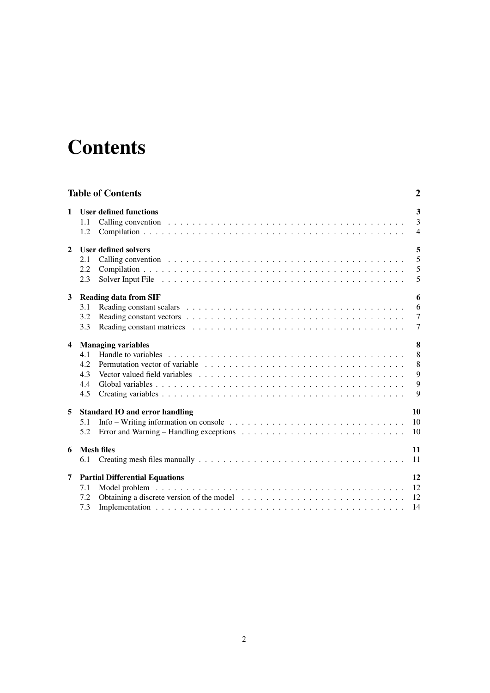# <span id="page-2-0"></span>**Contents**

|                         | <b>Table of Contents</b>                                                                                                                                                                                                                                                                | 2                                  |
|-------------------------|-----------------------------------------------------------------------------------------------------------------------------------------------------------------------------------------------------------------------------------------------------------------------------------------|------------------------------------|
| 1                       | <b>User defined functions</b><br>1.1<br>1.2                                                                                                                                                                                                                                             | 3<br>3<br>$\overline{4}$           |
| $\mathbf{2}$            | <b>User defined solvers</b><br>2.1<br>2.2<br>2.3                                                                                                                                                                                                                                        | 5<br>5<br>5<br>5                   |
| 3                       | <b>Reading data from SIF</b><br>3.1<br>3.2<br>3.3                                                                                                                                                                                                                                       | 6<br>6<br>$\overline{7}$<br>$\tau$ |
| $\overline{\mathbf{4}}$ | <b>Managing variables</b><br>4.1<br>Permutation vector of variable $\ldots \ldots \ldots \ldots \ldots \ldots \ldots \ldots \ldots \ldots \ldots \ldots$<br>4.2<br>4.3<br>4.4<br>4.5                                                                                                    | 8<br>8<br>8<br>9<br>9<br>9         |
| 5                       | <b>Standard IO and error handling</b><br>Info – Writing information on console $\ldots \ldots \ldots \ldots \ldots \ldots \ldots \ldots \ldots \ldots$<br>5.1<br>Error and Warning – Handling exceptions $\ldots \ldots \ldots \ldots \ldots \ldots \ldots \ldots \ldots \ldots$<br>5.2 | 10<br>10<br>10                     |
| 6                       | <b>Mesh files</b><br>6.1                                                                                                                                                                                                                                                                | 11<br>11                           |
| 7                       | <b>Partial Differential Equations</b><br>7.1<br>7.2<br>7.3                                                                                                                                                                                                                              | 12<br>12<br>12<br>14               |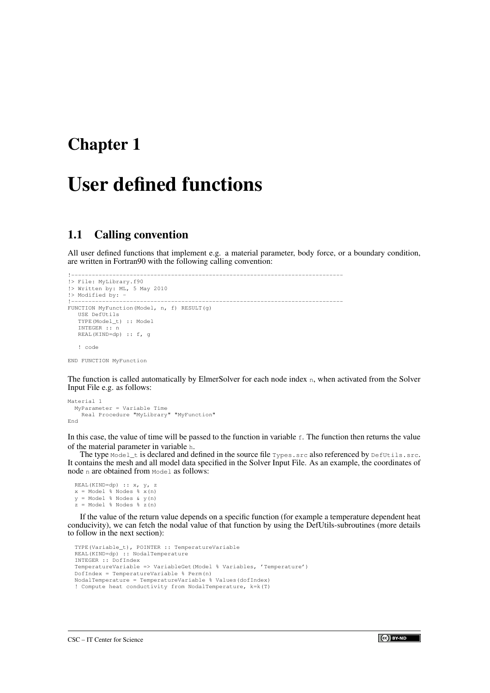# <span id="page-3-0"></span>User defined functions

### <span id="page-3-1"></span>1.1 Calling convention

All user defined functions that implement e.g. a material parameter, body force, or a boundary condition, are written in Fortran90 with the following calling convention:

```
!-------------------------------------------------------------------------------
!> File: MyLibrary.f90
!> Written by: ML, 5 May 2010
!> Modified by: -
                  !-------------------------------------------------------------------------------
FUNCTION MyFunction(Model, n, f) RESULT(g)
   USE DefUtils
   TYPE(Model_t) :: Model
   INTEGER :: n
   REAL(KIND=dp) :: f, g
   ! code
```
END FUNCTION MyFunction

The function is called automatically by ElmerSolver for each node index n, when activated from the Solver Input File e.g. as follows:

```
Material 1
 MyParameter = Variable Time
   Real Procedure "MyLibrary" "MyFunction"
End
```
In this case, the value of time will be passed to the function in variable  $f$ . The function then returns the value of the material parameter in variable h.

The type  $Mod_{el_t}$  is declared and defined in the source file  $Types.src$  also referenced by  $DefUtils.src$ . It contains the mesh and all model data specified in the Solver Input File. As an example, the coordinates of node n are obtained from Model as follows:

```
REAL(KIND=dp) :: x, y, z
x = Model % Nodes % x(n)
y = Model % Nodes & y(n)
z = Model % Nodes % z(n)
```
If the value of the return value depends on a specific function (for example a temperature dependent heat conducivity), we can fetch the nodal value of that function by using the DefUtils-subroutines (more details to follow in the next section):

```
TYPE(Variable_t), POINTER :: TemperatureVariable
REAL(KIND=dp) :: NodalTemperature
INTEGER :: DofIndex
TemperatureVariable => VariableGet(Model % Variables, 'Temperature')
DofIndex = TemperatureVariable % Perm(n)NodalTemperature = TemperatureVariable % Values(dofIndex)
! Compute heat conductivity from NodalTemperature, k=k(T)
```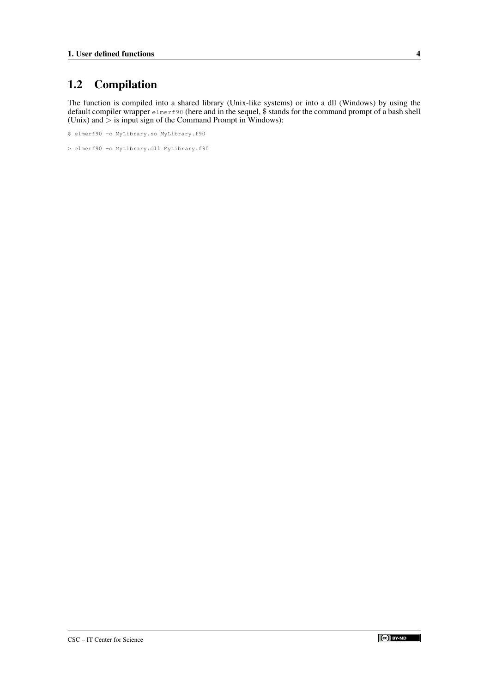## <span id="page-4-0"></span>1.2 Compilation

The function is compiled into a shared library (Unix-like systems) or into a dll (Windows) by using the default compiler wrapper  $\text{elmerf90}$  (here and in the sequel, \$ stands for the command prompt of a bash shell (Unix) and  $>$  is input sign of the Command Prompt in Windows):

```
$ elmerf90 -o MyLibrary.so MyLibrary.f90
```
> elmerf90 -o MyLibrary.dll MyLibrary.f90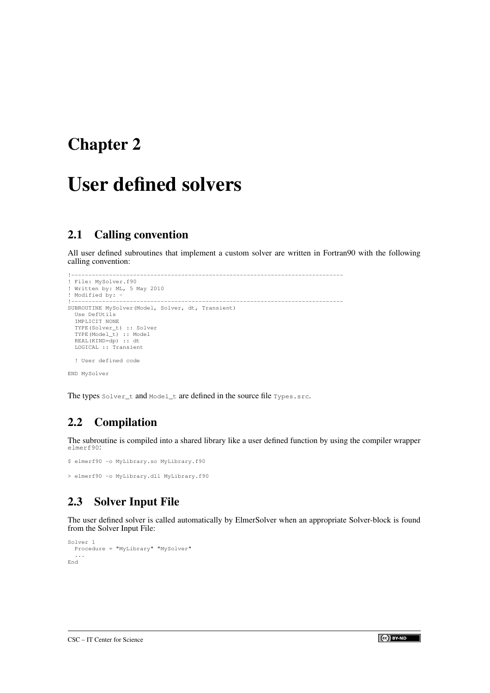# <span id="page-5-0"></span>User defined solvers

## <span id="page-5-1"></span>2.1 Calling convention

All user defined subroutines that implement a custom solver are written in Fortran90 with the following calling convention:

```
!-------------------------------------------------------------------------------
! File: MySolver.f90
! Written by: ML, 5 May 2010
! Modified by: -
                 !-------------------------------------------------------------------------------
SUBROUTINE MySolver(Model, Solver, dt, Transient)
 Use DefUtils
  IMPLICIT NONE
  TYPE(Solver_t) :: Solver
  TYPE(Model_t) :: Model
REAL(KIND=dp) :: dt
 LOGICAL :: Transient
  ! User defined code
END MySolver
```
The types Solver\_t and Model\_t are defined in the source file Types.src.

## <span id="page-5-2"></span>2.2 Compilation

The subroutine is compiled into a shared library like a user defined function by using the compiler wrapper elmerf90:

```
$ elmerf90 -o MyLibrary.so MyLibrary.f90
> elmerf90 -o MyLibrary.dll MyLibrary.f90
```
## <span id="page-5-3"></span>2.3 Solver Input File

The user defined solver is called automatically by ElmerSolver when an appropriate Solver-block is found from the Solver Input File:

```
Solver 1
 Procedure = "MyLibrary" "MySolver"
  ...
End
```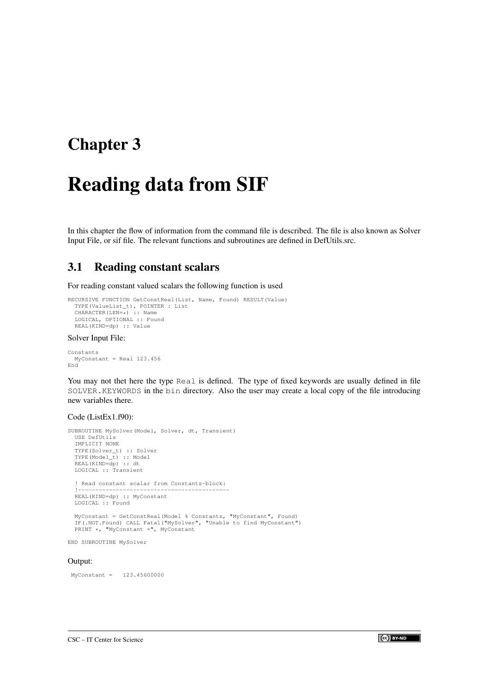# <span id="page-6-0"></span>Reading data from SIF

In this chapter the flow of information from the command file is described. The file is also known as Solver Input File, or sif file. The relevant functions and subroutines are defined in DefUtils.src.

## <span id="page-6-1"></span>3.1 Reading constant scalars

For reading constant valued scalars the following function is used

```
RECURSIVE FUNCTION GetConstReal(List, Name, Found) RESULT(Value)
  TYPE(ValueList_t), POINTER : List
  CHARACTER(LEN=*) :: Name
LOGICAL, OPTIONAL :: Found
  REAL(KIND=dp) :: Value
```
#### Solver Input File:

```
Constants
 MyConstant = Real 123.456
End
```
You may not thet here the type Real is defined. The type of fixed keywords are usually defined in file SOLVER.KEYWORDS in the bin directory. Also the user may create a local copy of the file introducing new variables there.

### Code (ListEx1.f90):

```
SUBROUTINE MySolver(Model, Solver, dt, Transient)
  USE DefUtils
  IMPLICIT NONE
  TYPE(Solver_t) :: Solver
  TYPE(Model_t) :: Model
REAL(KIND=dp) :: dt
  LOGICAL :: Transient
  ! Read constant scalar from Constants-block:
  !--------------------------------------------
  REAL(KIND=dp) :: MyConstant
 LOGICAL :: Found
  MyConstant = GetConstReal(Model % Constants, "MyConstant", Found)
  IF(.NOT.Found) CALL Fatal("MySolver", "Unable to find MyConstant")
  PRINT *, "MyConstant =", MyConstant
END SUBROUTINE MySolver
```
#### Output:

MyConstant = 123.45600000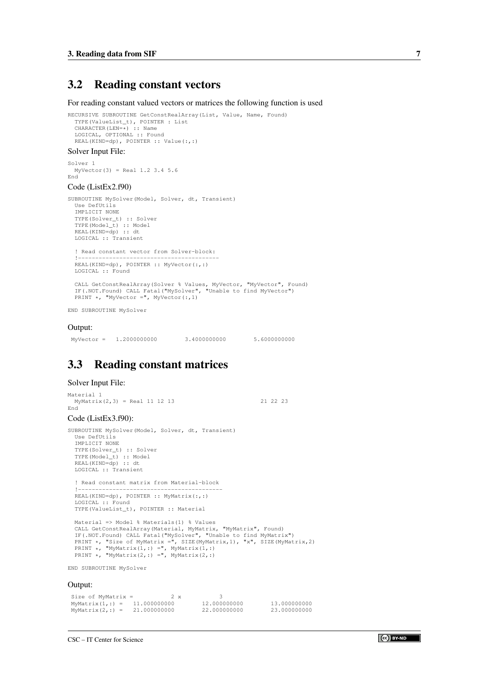## <span id="page-7-0"></span>3.2 Reading constant vectors

For reading constant valued vectors or matrices the following function is used

```
RECURSIVE SUBROUTINE GetConstRealArray(List, Value, Name, Found)
  TYPE(ValueList_t), POINTER : List
  CHARACTER(LEN=*) :: Name
LOGICAL, OPTIONAL :: Found
  REAL(KIND=dp), POINTER :: Value(:,:)
```
#### Solver Input File:

Solver 1 MyVector(3) = Real 1.2 3.4 5.6 End

#### Code (ListEx2.f90)

```
SUBROUTINE MySolver(Model, Solver, dt, Transient)
  Use DefUtils
  IMPLICIT NONE
  TYPE(Solver_t) :: Solver
  TYPE(Model_t) :: Model
REAL(KIND=dp) :: dt
 LOGICAL :: Transient
```
! Read constant vector from Solver-block: !----------------------------------------- REAL(KIND=dp), POINTER :: MyVector(:,:) LOGICAL :: Found

CALL GetConstRealArray(Solver % Values, MyVector, "MyVector", Found) IF(.NOT.Found) CALL Fatal("MySolver", "Unable to find MyVector") PRINT \*, "MyVector =", MyVector(:, 1)

END SUBROUTINE MySolver

#### Output:

MyVector = 1.2000000000 3.40000000000 5.6000000000

## <span id="page-7-1"></span>3.3 Reading constant matrices

#### Solver Input File:

```
Material 1
  MyMatrix(2,3) = Real 11 12 13 21 22 23
End
Code (ListEx3.f90):
SUBROUTINE MySolver(Model, Solver, dt, Transient)
  Use DefUtils
  IMPLICIT NONE
  TYPE(Solver_t) :: Solver
   TYPE(Model_t) :: Model
REAL(KIND=dp) :: dt
  LOGICAL :: Transient
  ! Read constant matrix from Material-block
   !------------------------------------------
  REAL(KIND=dp), POINTER :: MyMatrix(:,:)
  LOGICAL :: Found
  TYPE(ValueList_t), POINTER :: Material
  Material => Model % Materials(1) % Values
   CALL GetConstRealArray(Material, MyMatrix, "MyMatrix", Found)
IF(.NOT.Found) CALL Fatal("MySolver", "Unable to find MyMatrix")
   PRINT *, "Size of MyMatrix =", SIZE(MyMatrix,1), "x", SIZE(MyMatrix,2)
PRINT *, "MyMatrix(1,:) =", MyMatrix(1,:)
PRINT *, "MyMatrix(2,:) =", MyMatrix(2,:)
END SUBROUTINE MySolver
Output:
```

```
Size of MyMatrix = 2 \times 3<br>MyMatrix (1,:) = 11.000000000 12.000000000
MyMatrix(1,:) = 11.000000000 12.000000000 13.000000000
MyMatrix(2,:) = 21.000000000 22.000000000 23.000000000
```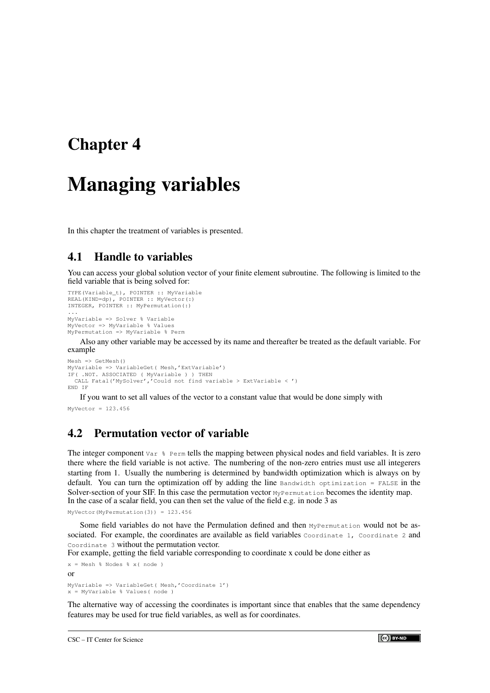# <span id="page-8-0"></span>Managing variables

In this chapter the treatment of variables is presented.

## <span id="page-8-1"></span>4.1 Handle to variables

You can access your global solution vector of your finite element subroutine. The following is limited to the field variable that is being solved for:

```
TYPE(Variable_t), POINTER :: MyVariable
REAL(KIND=dp), POINTER :: MyVector(:)
INTEGER, POINTER :: MyPermutation(:)
...
MyVariable => Solver % Variable
MyVector => MyVariable % Values
MyPermutation => MyVariable % Perm
```
Also any other variable may be accessed by its name and thereafter be treated as the default variable. For example

```
Mesh => GetMesh()
MyVariable => VariableGet( Mesh,'ExtVariable')
IF( .NOT. ASSOCIATED ( MyVariable ) ) THEN
CALL Fatal('MySolver','Could not find variable > ExtVariable < ')
END IF
```
If you want to set all values of the vector to a constant value that would be done simply with

```
MyVector = 123.456
```
## <span id="page-8-2"></span>4.2 Permutation vector of variable

The integer component Var % Perm tells the mapping between physical nodes and field variables. It is zero there where the field variable is not active. The numbering of the non-zero entries must use all integerers starting from 1. Usually the numbering is determined by bandwidth optimization which is always on by default. You can turn the optimization off by adding the line  $B$  bandwidth optimization = FALSE in the Solver-section of your SIF. In this case the permutation vector MyPermutation becomes the identity map. In the case of a scalar field, you can then set the value of the field e.g. in node 3 as

```
MyVector(MyPermutation(3)) = 123.456
```
Some field variables do not have the Permulation defined and then MyPermutation would not be associated. For example, the coordinates are available as field variables Coordinate 1, Coordinate 2 and Coordinate 3 without the permutation vector.

For example, getting the field variable corresponding to coordinate x could be done either as

```
x = Mesh % Nodes % x( node )
or
MyVariable => VariableGet( Mesh,'Coordinate 1')
x = MvVariable % Values( node )
```
The alternative way of accessing the coordinates is important since that enables that the same dependency features may be used for true field variables, as well as for coordinates.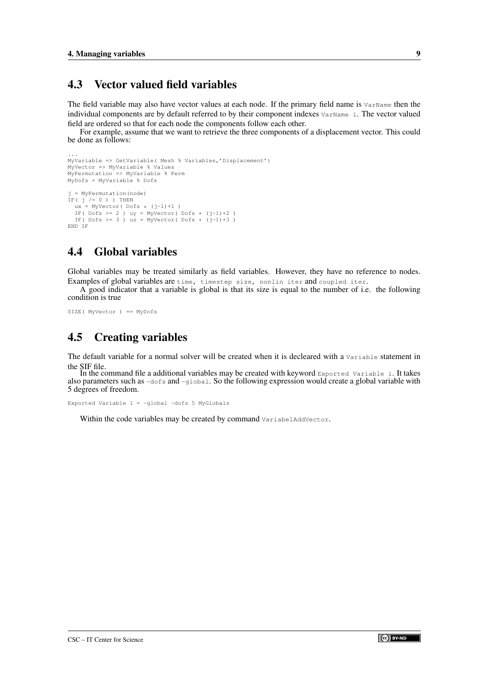### <span id="page-9-0"></span>4.3 Vector valued field variables

The field variable may also have vector values at each node. If the primary field name is  $VATName$  then the individual components are by default referred to by their component indexes  $VATName$  i. The vector valued field are ordered so that for each node the components follow each other.

For example, assume that we want to retrieve the three components of a displacement vector. This could be done as follows:

```
...
MyVariable => GetVariable( Mesh % Variables,'Displacement')
MyVector => MyVariable % Values
MyPermutation => MyVariable % Perm
MyDofs = MyVariable % Dofs
j = MyPermutation(node)
IF ( j /= 0 ) ) THEN
   ux = MyVector( Dofs * (j-1)+1 )
IF( Dofs >= 2 ) uy = MyVector( Dofs * (j-1)+2 )
IF( Dofs >= 3 ) uz = MyVector( Dofs * (j-1)+3 )
END IF
```
## <span id="page-9-1"></span>4.4 Global variables

Global variables may be treated similarly as field variables. However, they have no reference to nodes. Examples of global variables are time, timestep size, nonlin iter and coupled iter.

A good indicator that a variable is global is that its size is equal to the number of i.e. the following condition is true

SIZE( MyVector ) == MyDofs

## <span id="page-9-2"></span>4.5 Creating variables

The default variable for a normal solver will be created when it is decleared with a Variable statement in the SIF file.

In the command file a additional variables may be created with keyword Exported Variable i. It takes also parameters such as -dofs and -global. So the following expression would create a global variable with 5 degrees of freedom.

Exported Variable 1 = -global -dofs 5 MyGlobals

Within the code variables may be created by command VariabelAddVector.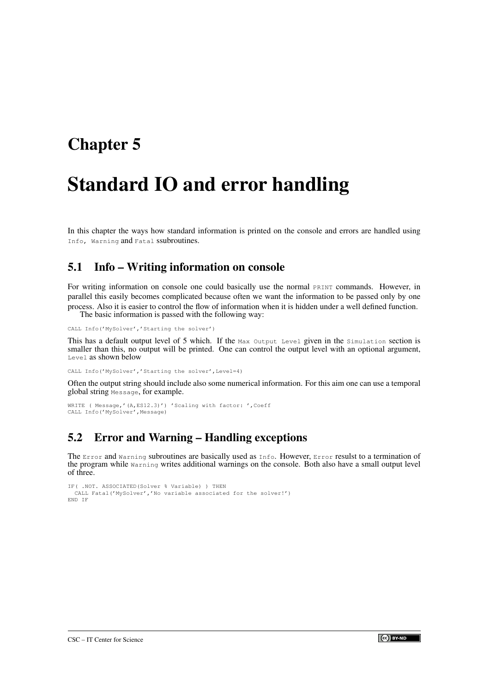# <span id="page-10-0"></span>Standard IO and error handling

In this chapter the ways how standard information is printed on the console and errors are handled using Info, Warning and Fatal ssubroutines.

### <span id="page-10-1"></span>5.1 Info – Writing information on console

For writing information on console one could basically use the normal PRINT commands. However, in parallel this easily becomes complicated because often we want the information to be passed only by one process. Also it is easier to control the flow of information when it is hidden under a well defined function. The basic information is passed with the following way:

CALL Info('MySolver','Starting the solver')

This has a default output level of 5 which. If the Max Output Level given in the simulation section is smaller than this, no output will be printed. One can control the output level with an optional argument, Level as shown below

CALL Info('MySolver','Starting the solver', Level=4)

Often the output string should include also some numerical information. For this aim one can use a temporal global string Message, for example.

```
WRITE ( Message,'(A,ES12.3)') 'Scaling with factor: ',Coeff
CALL Info('MySolver',Message)
```
## <span id="page-10-2"></span>5.2 Error and Warning – Handling exceptions

The Error and Warning subroutines are basically used as Info. However, Error resulst to a termination of the program while Warning writes additional warnings on the console. Both also have a small output level of three.

```
IF( .NOT. ASSOCIATED(Solver % Variable) ) THEN
 CALL Fatal('MySolver','No variable associated for the solver!')
END IF
```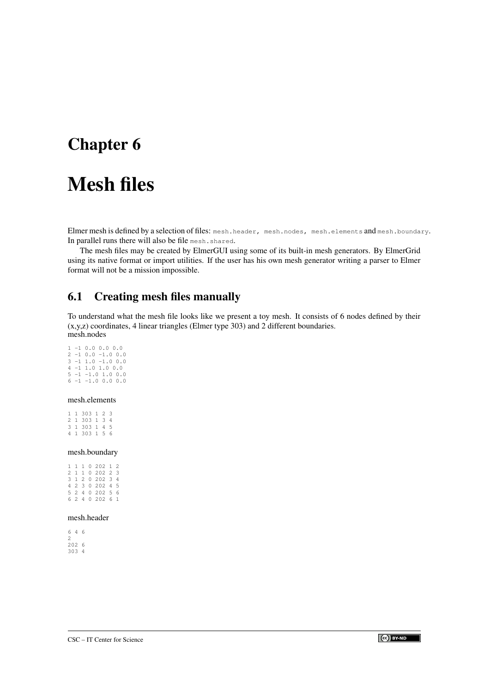# <span id="page-11-0"></span>Mesh files

Elmer mesh is defined by a selection of files: mesh.header, mesh.nodes, mesh.elements and mesh.boundary. In parallel runs there will also be file mesh.shared.

The mesh files may be created by ElmerGUI using some of its built-in mesh generators. By ElmerGrid using its native format or import utilities. If the user has his own mesh generator writing a parser to Elmer format will not be a mission impossible.

## <span id="page-11-1"></span>6.1 Creating mesh files manually

To understand what the mesh file looks like we present a toy mesh. It consists of 6 nodes defined by their (x,y,z) coordinates, 4 linear triangles (Elmer type 303) and 2 different boundaries. mesh.nodes

1 -1 0.0 0.0 0.0  $2 -1 0.0 -1.0 0.0$ 3 -1 1.0 -1.0 0.0 4 -1 1.0 1.0 0.0  $5 -1 -1.0 1.0 0.0$  $6 -1 -1.0 0.0 0.0$ 

### mesh.elements

1 1 303 1 2 3 2 1 303 1 3 4 3 1 303 1 4 5 4 1 303 1 5 6

#### mesh.boundary

|  |  | 1 1 1 0 202 1 2 |  |
|--|--|-----------------|--|
|  |  | 2 1 1 0 202 2 3 |  |
|  |  | 3 1 2 0 202 3 4 |  |
|  |  | 4 2 3 0 202 4 5 |  |
|  |  | 5 2 4 0 202 5 6 |  |
|  |  | 6 2 4 0 202 6 1 |  |
|  |  |                 |  |

### mesh.header

|   | 646   |  |
|---|-------|--|
| 2 |       |  |
|   | 202 6 |  |
|   | 303 4 |  |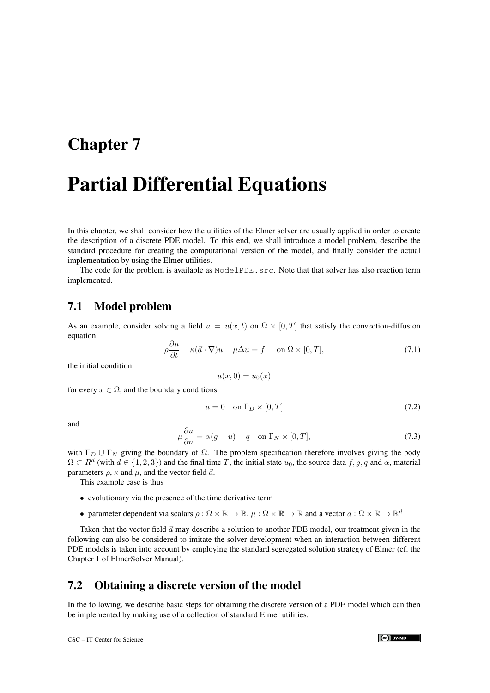# <span id="page-12-0"></span>Partial Differential Equations

In this chapter, we shall consider how the utilities of the Elmer solver are usually applied in order to create the description of a discrete PDE model. To this end, we shall introduce a model problem, describe the standard procedure for creating the computational version of the model, and finally consider the actual implementation by using the Elmer utilities.

The code for the problem is available as ModelPDE, s. S. Note that that solver has also reaction term implemented.

### <span id="page-12-1"></span>7.1 Model problem

As an example, consider solving a field  $u = u(x, t)$  on  $\Omega \times [0, T]$  that satisfy the convection-diffusion equation

<span id="page-12-3"></span>
$$
\rho \frac{\partial u}{\partial t} + \kappa (\vec{a} \cdot \nabla) u - \mu \Delta u = f \quad \text{on } \Omega \times [0, T], \tag{7.1}
$$

the initial condition

 $u(x, 0) = u_0(x)$ 

for every  $x \in \Omega$ , and the boundary conditions

<span id="page-12-4"></span>
$$
u = 0 \quad \text{on } \Gamma_D \times [0, T] \tag{7.2}
$$

and

$$
\mu \frac{\partial u}{\partial n} = \alpha(g - u) + q \quad \text{on } \Gamma_N \times [0, T], \tag{7.3}
$$

with  $\Gamma_D \cup \Gamma_N$  giving the boundary of  $\Omega$ . The problem specification therefore involves giving the body  $\Omega \subset R^d$  (with  $d \in \{1,2,3\}$ ) and the final time T, the initial state  $u_0$ , the source data  $f, g, q$  and  $\alpha$ , material parameters  $\rho$ ,  $\kappa$  and  $\mu$ , and the vector field  $\vec{a}$ .

This example case is thus

- evolutionary via the presence of the time derivative term
- parameter dependent via scalars  $\rho : \Omega \times \mathbb{R} \to \mathbb{R}$ ,  $\mu : \Omega \times \mathbb{R} \to \mathbb{R}$  and a vector  $\vec{a} : \Omega \times \mathbb{R} \to \mathbb{R}^d$

Taken that the vector field  $\vec{a}$  may describe a solution to another PDE model, our treatment given in the following can also be considered to imitate the solver development when an interaction between different PDE models is taken into account by employing the standard segregated solution strategy of Elmer (cf. the Chapter 1 of ElmerSolver Manual).

### <span id="page-12-2"></span>7.2 Obtaining a discrete version of the model

In the following, we describe basic steps for obtaining the discrete version of a PDE model which can then be implemented by making use of a collection of standard Elmer utilities.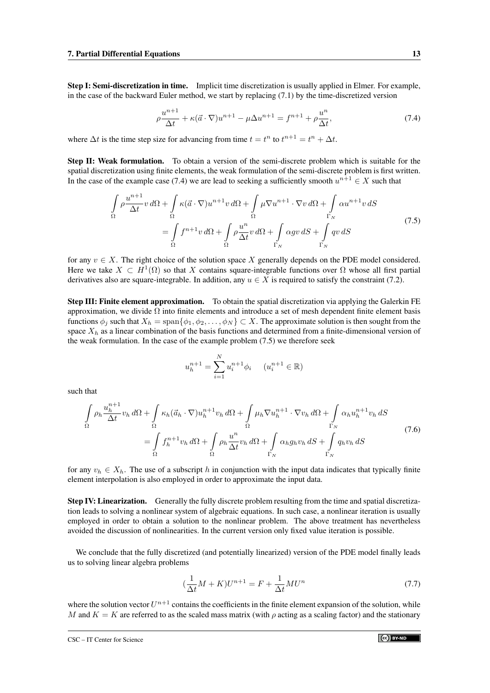Step I: Semi-discretization in time. Implicit time discretization is usually applied in Elmer. For example, in the case of the backward Euler method, we start by replacing [\(7.1\)](#page-12-3) by the time-discretized version

<span id="page-13-0"></span>
$$
\rho \frac{u^{n+1}}{\Delta t} + \kappa (\vec{a} \cdot \nabla) u^{n+1} - \mu \Delta u^{n+1} = f^{n+1} + \rho \frac{u^n}{\Delta t},
$$
\n(7.4)

where  $\Delta t$  is the time step size for advancing from time  $t = t^n$  to  $t^{n+1} = t^n + \Delta t$ .

Step II: Weak formulation. To obtain a version of the semi-discrete problem which is suitable for the spatial discretization using finite elements, the weak formulation of the semi-discrete problem is first written. In the case of the example case [\(7.4\)](#page-13-0) we are lead to seeking a sufficiently smooth  $u^{n+1} \in X$  such that

$$
\int_{\Omega} \rho \frac{u^{n+1}}{\Delta t} v \, d\Omega + \int_{\Omega} \kappa (\vec{a} \cdot \nabla) u^{n+1} v \, d\Omega + \int_{\Omega} \mu \nabla u^{n+1} \cdot \nabla v \, d\Omega + \int_{\Gamma_N} \alpha u^{n+1} v \, dS
$$
\n
$$
= \int_{\Omega} f^{n+1} v \, d\Omega + \int_{\Omega} \rho \frac{u^n}{\Delta t} v \, d\Omega + \int_{\Gamma_N} \alpha g v \, dS + \int_{\Gamma_N} q v \, dS \tag{7.5}
$$

<span id="page-13-1"></span>for any  $v \in X$ . The right choice of the solution space X generally depends on the PDE model considered. Here we take  $X \subset H^1(\Omega)$  so that X contains square-integrable functions over  $\Omega$  whose all first partial derivatives also are square-integrable. In addition, any  $u \in X$  is required to satisfy the constraint [\(7.2\)](#page-12-4).

Step III: Finite element approximation. To obtain the spatial discretization via applying the Galerkin FE approximation, we divide  $\Omega$  into finite elements and introduce a set of mesh dependent finite element basis functions  $\phi_j$  such that  $X_h = \text{span}\{\phi_1, \phi_2, \dots, \phi_N\} \subset X$ . The approximate solution is then sought from the space  $X_h$  as a linear combination of the basis functions and determined from a finite-dimensional version of the weak formulation. In the case of the example problem [\(7.5\)](#page-13-1) we therefore seek

$$
u_h^{n+1} = \sum_{i=1}^N u_i^{n+1} \phi_i \qquad (u_i^{n+1} \in \mathbb{R})
$$

such that

<span id="page-13-2"></span>
$$
\int_{\Omega} \rho_h \frac{u_h^{n+1}}{\Delta t} v_h \, d\Omega + \int_{\Omega} \kappa_h (\vec{a}_h \cdot \nabla) u_h^{n+1} v_h \, d\Omega + \int_{\Omega} \mu_h \nabla u_h^{n+1} \cdot \nabla v_h \, d\Omega + \int_{\Gamma_N} \alpha_h u_h^{n+1} v_h \, dS
$$
\n
$$
= \int_{\Omega} f_h^{n+1} v_h \, d\Omega + \int_{\Omega} \rho_h \frac{u^n}{\Delta t} v_h \, d\Omega + \int_{\Gamma_N} \alpha_h g_h v_h \, dS + \int_{\Gamma_N} q_h v_h \, dS \tag{7.6}
$$

for any  $v_h \in X_h$ . The use of a subscript h in conjunction with the input data indicates that typically finite element interpolation is also employed in order to approximate the input data.

Step IV: Linearization. Generally the fully discrete problem resulting from the time and spatial discretization leads to solving a nonlinear system of algebraic equations. In such case, a nonlinear iteration is usually employed in order to obtain a solution to the nonlinear problem. The above treatment has nevertheless avoided the discussion of nonlinearities. In the current version only fixed value iteration is possible.

We conclude that the fully discretized (and potentially linearized) version of the PDE model finally leads us to solving linear algebra problems

$$
\left(\frac{1}{\Delta t}M + K\right)U^{n+1} = F + \frac{1}{\Delta t}MU^n\tag{7.7}
$$

where the solution vector  $U^{n+1}$  contains the coefficients in the finite element expansion of the solution, while M and  $K = K$  are referred to as the scaled mass matrix (with  $\rho$  acting as a scaling factor) and the stationary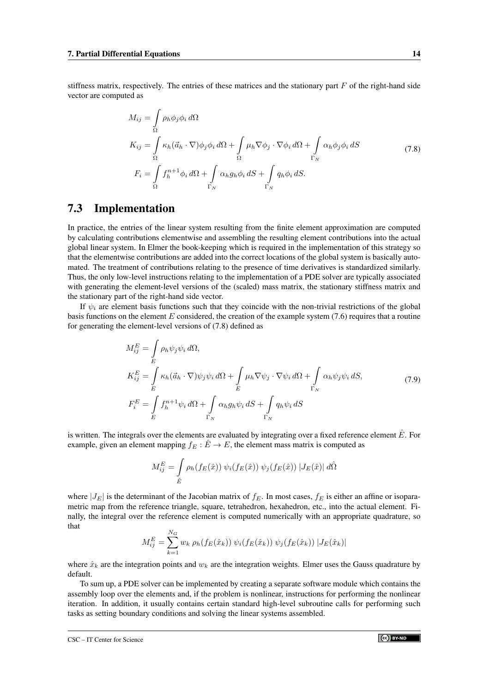<span id="page-14-1"></span>stiffness matrix, respectively. The entries of these matrices and the stationary part  $F$  of the right-hand side vector are computed as

$$
M_{ij} = \int_{\Omega} \rho_h \phi_j \phi_i d\Omega
$$
  
\n
$$
K_{ij} = \int_{\Omega} \kappa_h (\vec{a}_h \cdot \nabla) \phi_j \phi_i d\Omega + \int_{\Omega} \mu_h \nabla \phi_j \cdot \nabla \phi_i d\Omega + \int_{\Gamma_N} \alpha_h \phi_j \phi_i dS
$$
  
\n
$$
F_i = \int_{\Omega} f_h^{n+1} \phi_i d\Omega + \int_{\Gamma_N} \alpha_h g_h \phi_i dS + \int_{\Gamma_N} q_h \phi_i dS.
$$
\n(7.8)

### <span id="page-14-0"></span>7.3 Implementation

In practice, the entries of the linear system resulting from the finite element approximation are computed by calculating contributions elementwise and assembling the resulting element contributions into the actual global linear system. In Elmer the book-keeping which is required in the implementation of this strategy so that the elementwise contributions are added into the correct locations of the global system is basically automated. The treatment of contributions relating to the presence of time derivatives is standardized similarly. Thus, the only low-level instructions relating to the implementation of a PDE solver are typically associated with generating the element-level versions of the (scaled) mass matrix, the stationary stiffness matrix and the stationary part of the right-hand side vector.

If  $\psi_i$  are element basis functions such that they coincide with the non-trivial restrictions of the global basis functions on the element  $E$  considered, the creation of the example system  $(7.6)$  requires that a routine for generating the element-level versions of [\(7.8\)](#page-14-1) defined as

$$
M_{ij}^{E} = \int_{E} \rho_h \psi_j \psi_i d\Omega,
$$
  
\n
$$
K_{ij}^{E} = \int_{E} \kappa_h (\vec{a}_h \cdot \nabla) \psi_j \psi_i d\Omega + \int_{E} \mu_h \nabla \psi_j \cdot \nabla \psi_i d\Omega + \int_{\Gamma_N} \alpha_h \psi_j \psi_i dS,
$$
\n(7.9)  
\n
$$
F_i^{E} = \int_{E} f_h^{n+1} \psi_i d\Omega + \int_{\Gamma_N} \alpha_h g_h \psi_i dS + \int_{\Gamma_N} q_h \psi_i dS
$$

is written. The integrals over the elements are evaluated by integrating over a fixed reference element  $\hat{E}$ . For example, given an element mapping  $f_E : \hat{E} \to E$ , the element mass matrix is computed as

$$
M_{ij}^{E} = \int_{\hat{E}} \rho_h(f_E(\hat{x})) \psi_i(f_E(\hat{x})) \psi_j(f_E(\hat{x})) |J_E(\hat{x})| d\hat{\Omega}
$$

where  $|J_E|$  is the determinant of the Jacobian matrix of  $f_E$ . In most cases,  $f_E$  is either an affine or isoparametric map from the reference triangle, square, tetrahedron, hexahedron, etc., into the actual element. Finally, the integral over the reference element is computed numerically with an appropriate quadrature, so that

$$
M_{ij}^{E} = \sum_{k=1}^{N_G} w_k \, \rho_h(f_E(\hat{x}_k)) \, \psi_i(f_E(\hat{x}_k)) \, \psi_j(f_E(\hat{x}_k)) \, |J_E(\hat{x}_k)|
$$

where  $\hat{x}_k$  are the integration points and  $w_k$  are the integration weights. Elmer uses the Gauss quadrature by default.

To sum up, a PDE solver can be implemented by creating a separate software module which contains the assembly loop over the elements and, if the problem is nonlinear, instructions for performing the nonlinear iteration. In addition, it usually contains certain standard high-level subroutine calls for performing such tasks as setting boundary conditions and solving the linear systems assembled.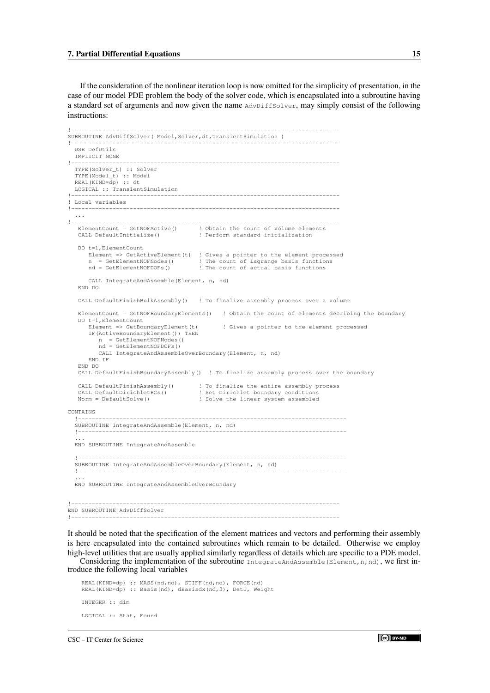If the consideration of the nonlinear iteration loop is now omitted for the simplicity of presentation, in the case of our model PDE problem the body of the solver code, which is encapsulated into a subroutine having a standard set of arguments and now given the name AdvDiffSolver, may simply consist of the following instructions:

```
!------------------------------------------------------------------------------
SUBROUTINE AdvDiffSolver( Model,Solver,dt,TransientSimulation )
!------------------------------------------------------------------------------
  USE DefUtils
  IMPLICIT NONE
!------------------------------------------------------------------------------
  TYPE(Solver_t) :: Solver
  TYPE(Model_t) :: Model
  REAL(KIND=dp) :: dt
  LOGICAL :: TransientSimulation
!------------------------------------------------------------------------------
! Local variables
!------------------------------------------------------------------------------
. . . .<br>----
!------------------------------------------------------------------------------
ElementCount = GetNOFActive() ! Obtain the count of volume elements
CALL DefaultInitialize() ! Perform standard initialization
   DO t=1,ElementCount
      Element => GetActiveElement(t) ! Gives a pointer to the element processed<br>n = GetElementNOFNodes() ! The count of Lagrange basis functions
      n = GetElementNOFNodes() : The count of Lagrange basis functions<br>
nd = \text{GetFlementNOFDOFs}() : The count of actual basis functions
                                         ! The count of actual basis functions
      CALL IntegrateAndAssemble(Element, n, nd)
   END DO
   CALL DefaultFinishBulkAssembly() ! To finalize assembly process over a volume
   ElementCount = GetNOFBoundaryElements() ! Obtain the count of elements decribing the boundary
   DO t=1,ElementCount
      Element => GetBoundaryElement(t) : Gives a pointer to the element processed
       IF(ActiveBoundaryElement()) THEN
         n = GetElementNOFNodes()
          nd = GetElementNOFDOFs()
          CALL IntegrateAndAssembleOverBoundary(Element, n, nd)
      END IF
   END DO
   CALL DefaultFinishBoundaryAssembly() ! To finalize assembly process over the boundary
   CALL DefaultFinishAssembly() ! To finalize the entire assembly process
   CALL DefaultDirichletBCs() <br>Norm = DefaultSolve() <br> ! Solve the linear system assembled
                                         ! Solve the linear system assembled
CONTAINS
  !------------------------------------------------------------------------------
  SUBROUTINE IntegrateAndAssemble(Element, n, nd)
  !------------------------------------------------------------------------------
  ...
  END SUBROUTINE IntegrateAndAssemble
  !------------------------------------------------------------------------------
  SUBROUTINE IntegrateAndAssembleOverBoundary(Element, n, nd)
  !------------------------------------------------------------------------------
  ...
  END SUBROUTINE IntegrateAndAssembleOverBoundary
!------------------------------------------------------------------------------
END SUBROUTINE AdvDiffSolver
!------------------------------------------------------------------------------
```
It should be noted that the specification of the element matrices and vectors and performing their assembly is here encapsulated into the contained subroutines which remain to be detailed. Otherwise we employ high-level utilities that are usually applied similarly regardless of details which are specific to a PDE model.

Considering the implementation of the subroutine IntegrateAndAssemble(Element,n,nd), we first introduce the following local variables

```
REAL(KIND=dp) :: MASS(nd,nd), STIFF(nd,nd), FORCE(nd)
REAL(KIND=dp) :: Basis(nd), dBasisdx(nd,3), DetJ, Weight
INTEGER :: dim
LOGICAL :: Stat, Found
```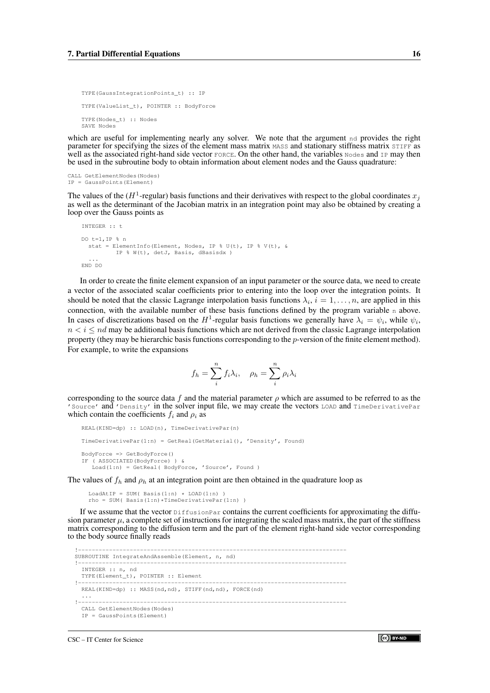```
TYPE(GaussIntegrationPoints_t) :: IP
TYPE(ValueList_t), POINTER :: BodyForce
TYPE(Nodes_t) :: Nodes
SAVE Nodes
```
which are useful for implementing nearly any solver. We note that the argument nd provides the right parameter for specifying the sizes of the element mass matrix MASS and stationary stiffness matrix STIFF as well as the associated right-hand side vector FORCE. On the other hand, the variables Nodes and IP may then be used in the subroutine body to obtain information about element nodes and the Gauss quadrature:

```
CALL GetElementNodes(Nodes)
IP = GaussPoints(Element)
```
The values of the ( $H^1$ -regular) basis functions and their derivatives with respect to the global coordinates  $x_j$ as well as the determinant of the Jacobian matrix in an integration point may also be obtained by creating a loop over the Gauss points as

```
INTEGER :: t
DO t=1,IP % n
  stat = ElementInfo(Element, Nodes, IP % U(t), IP % V(t), &
          IP % W(t), detJ, Basis, dBasisdx )
...
END DO
```
In order to create the finite element expansion of an input parameter or the source data, we need to create a vector of the associated scalar coefficients prior to entering into the loop over the integration points. It should be noted that the classic Lagrange interpolation basis functions  $\lambda_i$ ,  $i = 1, \ldots, n$ , are applied in this connection, with the available number of these basis functions defined by the program variable n above. In cases of discretizations based on the  $H^1$ -regular basis functions we generally have  $\lambda_i = \psi_i$ , while  $\psi_i$ ,  $n < i \leq nd$  may be additional basis functions which are not derived from the classic Lagrange interpolation property (they may be hierarchic basis functions corresponding to the p-version of the finite element method). For example, to write the expansions

$$
f_h = \sum_{i=1}^{n} f_i \lambda_i, \quad \rho_h = \sum_{i=1}^{n} \rho_i \lambda_i
$$

corresponding to the source data f and the material parameter  $\rho$  which are assumed to be referred to as the 'Source' and 'Density' in the solver input file, we may create the vectors LOAD and TimeDerivativePar which contain the coefficients  $f_i$  and  $\rho_i$  as

```
REAL(KIND=dp) :: LOAD(n), TimeDerivativePar(n)
TimeDerivativePar(1:n) = GetReal(GetMaterial(), 'Density', Found)
BodyForce => GetBodyForce()
IF ( ASSOCIATED(BodyForce) ) &
  Load(1:n) = GetReal(BodyForce, 'Source', Found)
```
The values of  $f_h$  and  $\rho_h$  at an integration point are then obtained in the quadrature loop as

```
LoadAtIP = SUM( Basis(1:n) * LOAD(1:n))
rho = SUM( Basis(1:n)*TimeDerivativePar(1:n) )
```
If we assume that the vector  $\text{DiffusionPar}$  contains the current coefficients for approximating the diffusion parameter  $\mu$ , a complete set of instructions for integrating the scaled mass matrix, the part of the stiffness matrix corresponding to the diffusion term and the part of the element right-hand side vector corresponding to the body source finally reads

```
!------------------------------------------------------------------------------
SUBROUTINE IntegrateAndAssemble(Element, n, nd)
!------------------------------------------------------------------------------
  INTEGER :: n, nd
 TYPE(Element_t), POINTER :: Element
!------------------------------------------------------------------------------
 REAL(KIND=dp) :: MASS(nd,nd), STIFF(nd,nd), FORCE(nd)
. . . .<br>. . . . . .
!------------------------------------------------------------------------------
 CALL GetElementNodes(Nodes)
  IP = GaussPoints(Element)
```